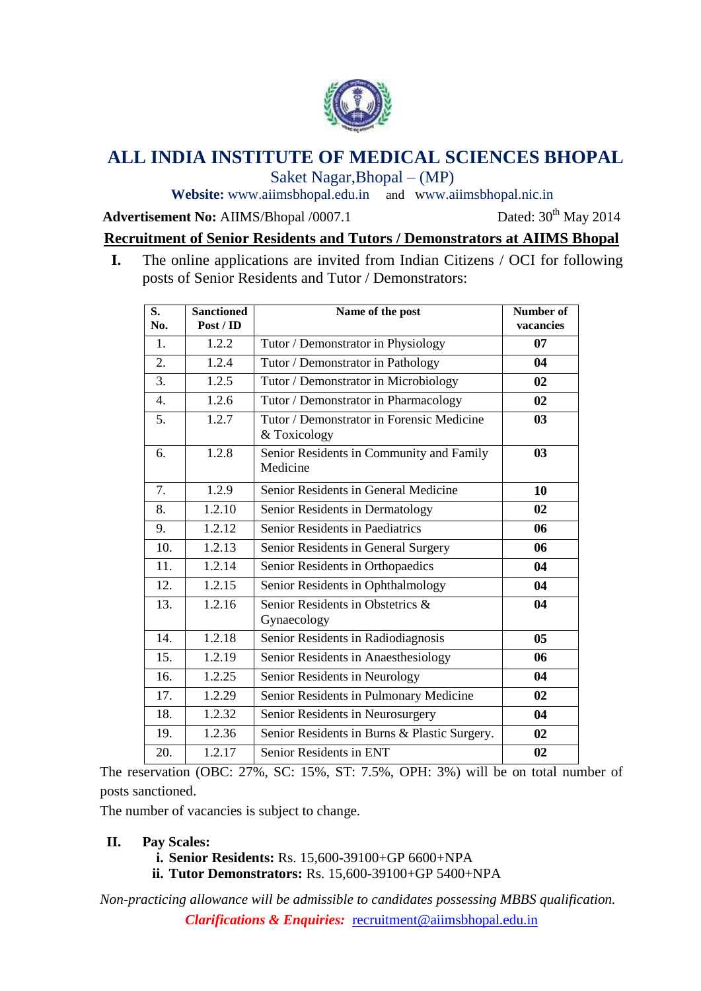

# **ALL INDIA INSTITUTE OF MEDICAL SCIENCES BHOPAL**

Saket Nagar,Bhopal – (MP)

**Website:** [www.aiimsbhopal.edu.in](http://www.aiimsbhopal.edu.in/) and www.aiimsbhopal.nic.in

**Advertisement No:** AIIMS/Bhopal /0007.1 Dated: 30<sup>th</sup> May 2014

## **Recruitment of Senior Residents and Tutors / Demonstrators at AIIMS Bhopal**

**I.** The online applications are invited from Indian Citizens / OCI for following posts of Senior Residents and Tutor / Demonstrators:

| S.<br>No.        | <b>Sanctioned</b><br>Post / ID | Name of the post                                          | Number of<br>vacancies |
|------------------|--------------------------------|-----------------------------------------------------------|------------------------|
| 1.               | 1.2.2                          | Tutor / Demonstrator in Physiology                        | 07                     |
| 2.               | 1.2.4                          | Tutor / Demonstrator in Pathology                         | 04                     |
| $\overline{3}$ . | 1.2.5                          | Tutor / Demonstrator in Microbiology                      | 02                     |
| $\overline{4}$ . | 1.2.6                          | Tutor / Demonstrator in Pharmacology                      | 02                     |
| 5.               | 1.2.7                          | Tutor / Demonstrator in Forensic Medicine<br>& Toxicology | 03                     |
| 6.               | 1.2.8                          | Senior Residents in Community and Family<br>Medicine      | 03                     |
| 7.               | 1.2.9                          | Senior Residents in General Medicine                      | 10                     |
| 8.               | 1.2.10                         | Senior Residents in Dermatology                           | 02                     |
| 9.               | 1.2.12                         | Senior Residents in Paediatrics                           | 06                     |
| 10.              | 1.2.13                         | Senior Residents in General Surgery                       | 06                     |
| 11.              | 1.2.14                         | Senior Residents in Orthopaedics                          | 04                     |
| 12.              | 1.2.15                         | Senior Residents in Ophthalmology                         | 04                     |
| 13.              | 1.2.16                         | Senior Residents in Obstetrics &<br>Gynaecology           | 04                     |
| 14.              | 1.2.18                         | Senior Residents in Radiodiagnosis                        | 0 <sub>5</sub>         |
| 15.              | 1.2.19                         | Senior Residents in Anaesthesiology                       | 06                     |
| 16.              | 1.2.25                         | Senior Residents in Neurology                             | 04                     |
| 17.              | 1.2.29                         | Senior Residents in Pulmonary Medicine                    | 02                     |
| 18.              | 1.2.32                         | Senior Residents in Neurosurgery                          | 04                     |
| 19.              | 1.2.36                         | Senior Residents in Burns & Plastic Surgery.              | 02                     |
| 20.              | 1.2.17                         | Senior Residents in ENT                                   | 02                     |

The reservation (OBC: 27%, SC: 15%, ST: 7.5%, OPH: 3%) will be on total number of posts sanctioned.

The number of vacancies is subject to change.

#### **II. Pay Scales:**

- **i. Senior Residents:** Rs. 15,600-39100+GP 6600+NPA
- **ii. Tutor Demonstrators:** Rs. 15,600-39100+GP 5400+NPA

*Clarifications & Enquiries:* recruitment@aiimsbhopal.edu.in *Non-practicing allowance will be admissible to candidates possessing MBBS qualification.*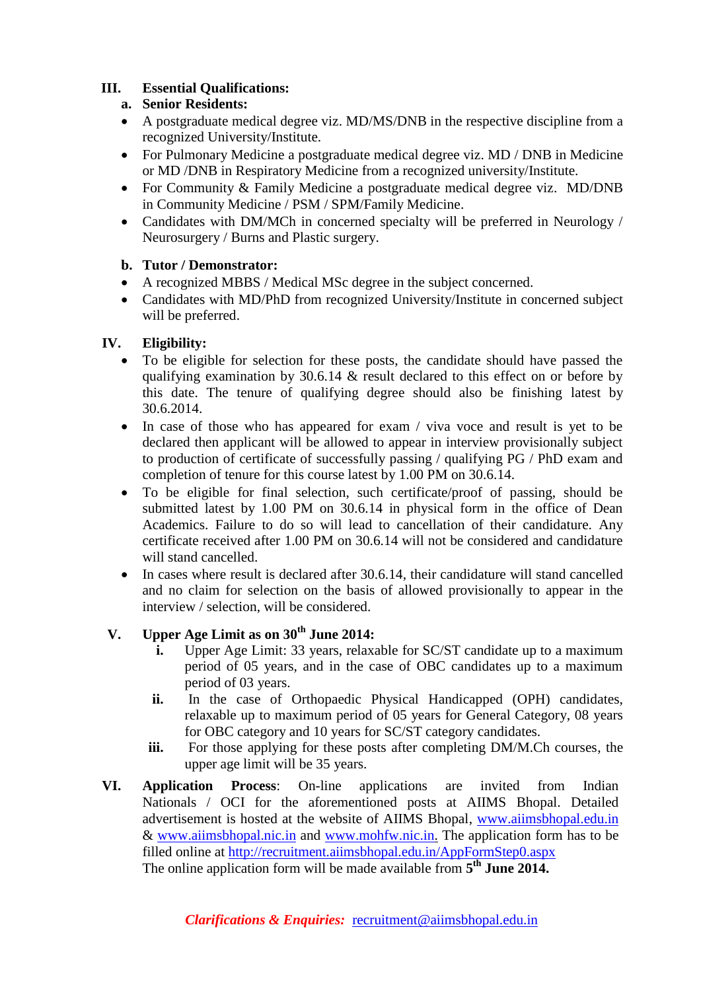## **III. Essential Qualifications:**

## **a. Senior Residents:**

- A postgraduate medical degree viz. MD/MS/DNB in the respective discipline from a recognized University/Institute.
- For Pulmonary Medicine a postgraduate medical degree viz. MD / DNB in Medicine or MD /DNB in Respiratory Medicine from a recognized university/Institute.
- For Community & Family Medicine a postgraduate medical degree viz. MD/DNB in Community Medicine / PSM / SPM/Family Medicine.
- Candidates with DM/MCh in concerned specialty will be preferred in Neurology / Neurosurgery / Burns and Plastic surgery.

#### **b. Tutor / Demonstrator:**

- A recognized MBBS / Medical MSc degree in the subject concerned.
- Candidates with MD/PhD from recognized University/Institute in concerned subject will be preferred.

#### **IV. Eligibility:**

- To be eligible for selection for these posts, the candidate should have passed the qualifying examination by  $30.6.14 \&$  result declared to this effect on or before by this date. The tenure of qualifying degree should also be finishing latest by 30.6.2014.
- In case of those who has appeared for exam / viva voce and result is yet to be declared then applicant will be allowed to appear in interview provisionally subject to production of certificate of successfully passing / qualifying PG / PhD exam and completion of tenure for this course latest by 1.00 PM on 30.6.14.
- To be eligible for final selection, such certificate/proof of passing, should be submitted latest by 1.00 PM on 30.6.14 in physical form in the office of Dean Academics. Failure to do so will lead to cancellation of their candidature. Any certificate received after 1.00 PM on 30.6.14 will not be considered and candidature will stand cancelled.
- $\bullet$  In cases where result is declared after 30.6.14, their candidature will stand cancelled and no claim for selection on the basis of allowed provisionally to appear in the interview / selection, will be considered.

## **V. Upper Age Limit as on 30th June 2014:**

- **i.** Upper Age Limit: 33 years, relaxable for SC/ST candidate up to a maximum period of 05 years, and in the case of OBC candidates up to a maximum period of 03 years.
- **ii.** In the case of Orthopaedic Physical Handicapped (OPH) candidates, relaxable up to maximum period of 05 years for General Category, 08 years for OBC category and 10 years for SC/ST category candidates.
- **iii.** For those applying for these posts after completing DM/M.Ch courses, the upper age limit will be 35 years.
- **VI. Application Process**: On-line applications are invited from Indian Nationals / OCI for the aforementioned posts at AIIMS Bhopal. Detailed advertisement is hosted at the website of AIIMS Bhopal, [www.aiimsbhopal.edu.in](http://www.aiimsbhopal.edu.in/) & [www.aiimsbhopal.nic.in](http://www.aiimsbhopal.nic.in/) and [www.mohfw.nic.in.](http://www.mohfw.nic.in/) The application form has to be filled online at <http://recruitment.aiimsbhopal.edu.in/AppFormStep0.aspx> The online application form will be made available from **5 th June 2014.**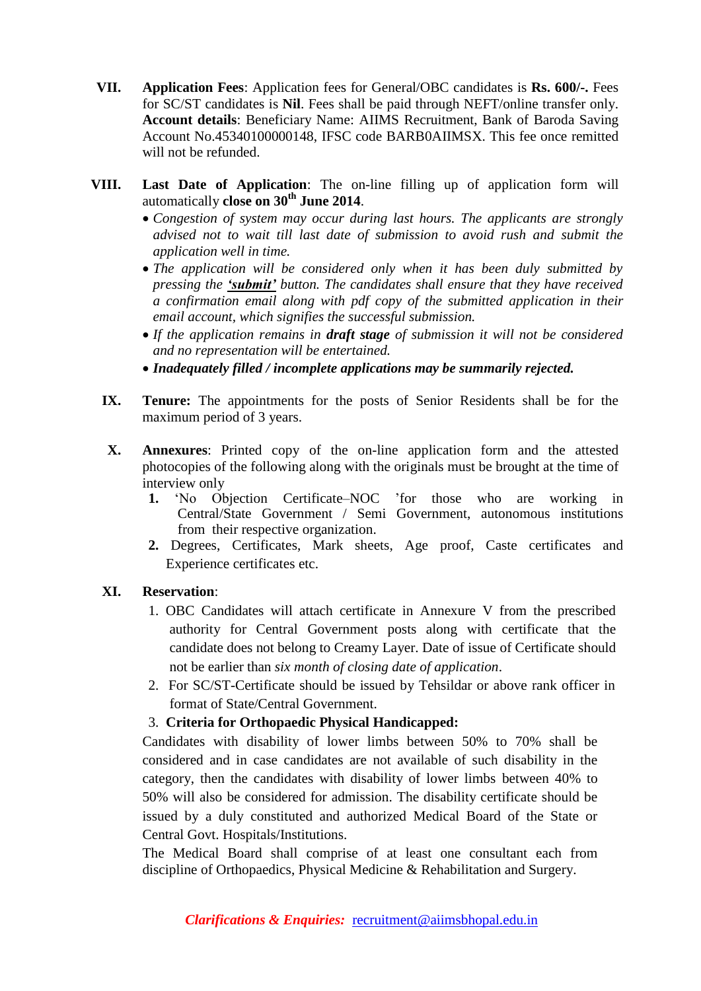- **VII. Application Fees**: Application fees for General/OBC candidates is **Rs. 600/-.** Fees for SC/ST candidates is **Nil**. Fees shall be paid through NEFT/online transfer only. **Account details**: Beneficiary Name: AIIMS Recruitment, Bank of Baroda Saving Account No.45340100000148, IFSC code BARB0AIIMSX. This fee once remitted will not be refunded.
- **VIII. Last Date of Application**: The on-line filling up of application form will automatically **close on 30th June 2014**.
	- *Congestion of system may occur during last hours. The applicants are strongly advised not to wait till last date of submission to avoid rush and submit the application well in time.*
	- *The application will be considered only when it has been duly submitted by pressing the 'submit' button. The candidates shall ensure that they have received a confirmation email along with pdf copy of the submitted application in their email account, which signifies the successful submission.*
	- *If the application remains in draft stage of submission it will not be considered and no representation will be entertained.*
	- *Inadequately filled / incomplete applications may be summarily rejected.*
	- **IX. Tenure:** The appointments for the posts of Senior Residents shall be for the maximum period of 3 years.
	- **X. Annexures**: Printed copy of the on-line application form and the attested photocopies of the following along with the originals must be brought at the time of interview only
		- **1.** 'No Objection Certificate–NOC 'for those who are working in Central/State Government / Semi Government, autonomous institutions from their respective organization.
		- **2.** Degrees, Certificates, Mark sheets, Age proof, Caste certificates and Experience certificates etc.

#### **XI. Reservation**:

- 1. OBC Candidates will attach certificate in Annexure V from the prescribed authority for Central Government posts along with certificate that the candidate does not belong to Creamy Layer. Date of issue of Certificate should not be earlier than *six month of closing date of application*.
- 2. For SC/ST-Certificate should be issued by Tehsildar or above rank officer in format of State/Central Government.

#### 3. **Criteria for Orthopaedic Physical Handicapped:**

Candidates with disability of lower limbs between 50% to 70% shall be considered and in case candidates are not available of such disability in the category, then the candidates with disability of lower limbs between 40% to 50% will also be considered for admission. The disability certificate should be issued by a duly constituted and authorized Medical Board of the State or Central Govt. Hospitals/Institutions.

The Medical Board shall comprise of at least one consultant each from discipline of Orthopaedics, Physical Medicine & Rehabilitation and Surgery.